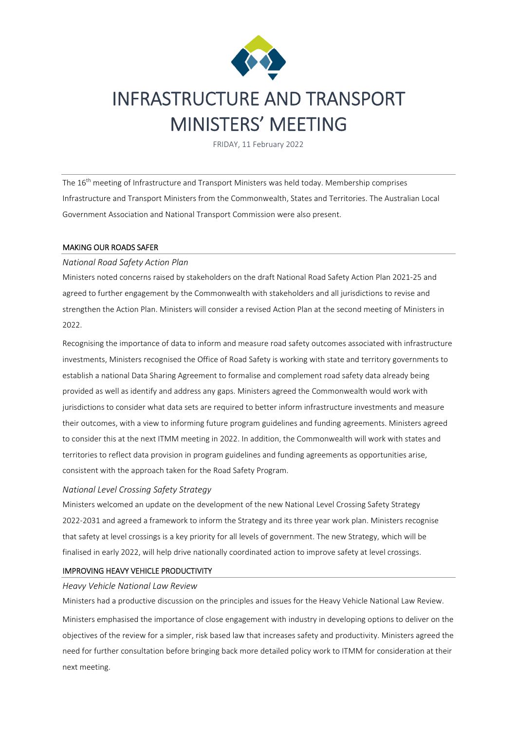

# INFRASTRUCTURE AND TRANSPORT MINISTERS' MEETING

FRIDAY, 11 February 2022

The 16th meeting of Infrastructure and Transport Ministers was held today. Membership comprises Infrastructure and Transport Ministers from the Commonwealth, States and Territories. The Australian Local Government Association and National Transport Commission were also present.

## MAKING OUR ROADS SAFER

## *National Road Safety Action Plan*

Ministers noted concerns raised by stakeholders on the draft National Road Safety Action Plan 2021-25 and agreed to further engagement by the Commonwealth with stakeholders and all jurisdictions to revise and strengthen the Action Plan. Ministers will consider a revised Action Plan at the second meeting of Ministers in 2022.

Recognising the importance of data to inform and measure road safety outcomes associated with infrastructure investments, Ministers recognised the Office of Road Safety is working with state and territory governments to establish a national Data Sharing Agreement to formalise and complement road safety data already being provided as well as identify and address any gaps. Ministers agreed the Commonwealth would work with jurisdictions to consider what data sets are required to better inform infrastructure investments and measure their outcomes, with a view to informing future program guidelines and funding agreements. Ministers agreed to consider this at the next ITMM meeting in 2022. In addition, the Commonwealth will work with states and territories to reflect data provision in program guidelines and funding agreements as opportunities arise, consistent with the approach taken for the Road Safety Program.

# *National Level Crossing Safety Strategy*

Ministers welcomed an update on the development of the new National Level Crossing Safety Strategy 2022-2031 and agreed a framework to inform the Strategy and its three year work plan. Ministers recognise that safety at level crossings is a key priority for all levels of government. The new Strategy, which will be finalised in early 2022, will help drive nationally coordinated action to improve safety at level crossings.

# IMPROVING HEAVY VEHICLE PRODUCTIVITY

#### *Heavy Vehicle National Law Review*

Ministers had a productive discussion on the principles and issues for the Heavy Vehicle National Law Review. Ministers emphasised the importance of close engagement with industry in developing options to deliver on the objectives of the review for a simpler, risk based law that increases safety and productivity. Ministers agreed the need for further consultation before bringing back more detailed policy work to ITMM for consideration at their next meeting.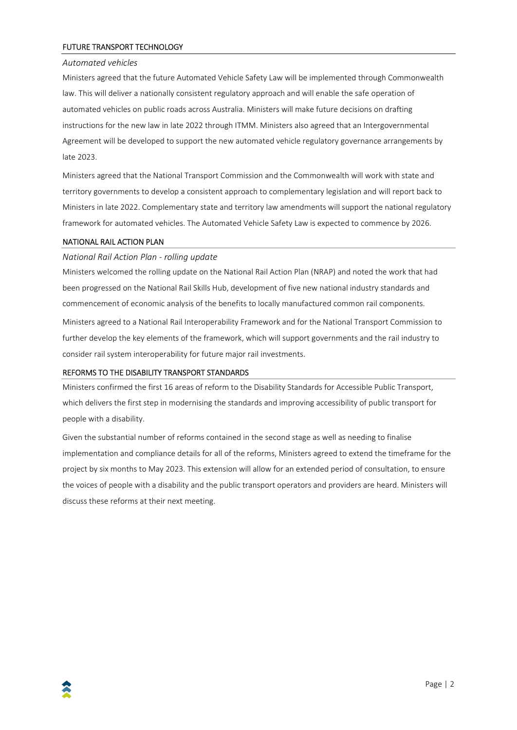## FUTURE TRANSPORT TECHNOLOGY

#### *Automated vehicles*

Ministers agreed that the future Automated Vehicle Safety Law will be implemented through Commonwealth law. This will deliver a nationally consistent regulatory approach and will enable the safe operation of automated vehicles on public roads across Australia. Ministers will make future decisions on drafting instructions for the new law in late 2022 through ITMM. Ministers also agreed that an Intergovernmental Agreement will be developed to support the new automated vehicle regulatory governance arrangements by late 2023.

Ministers agreed that the National Transport Commission and the Commonwealth will work with state and territory governments to develop a consistent approach to complementary legislation and will report back to Ministers in late 2022. Complementary state and territory law amendments will support the national regulatory framework for automated vehicles. The Automated Vehicle Safety Law is expected to commence by 2026.

#### NATIONAL RAIL ACTION PLAN

*National Rail Action Plan - rolling update* 

Ministers welcomed the rolling update on the National Rail Action Plan (NRAP) and noted the work that had been progressed on the National Rail Skills Hub, development of five new national industry standards and commencement of economic analysis of the benefits to locally manufactured common rail components. Ministers agreed to a National Rail Interoperability Framework and for the National Transport Commission to further develop the key elements of the framework, which will support governments and the rail industry to consider rail system interoperability for future major rail investments.

#### REFORMS TO THE DISABILITY TRANSPORT STANDARDS

Ministers confirmed the first 16 areas of reform to the Disability Standards for Accessible Public Transport, which delivers the first step in modernising the standards and improving accessibility of public transport for people with a disability.

Given the substantial number of reforms contained in the second stage as well as needing to finalise implementation and compliance details for all of the reforms, Ministers agreed to extend the timeframe for the project by six months to May 2023. This extension will allow for an extended period of consultation, to ensure the voices of people with a disability and the public transport operators and providers are heard. Ministers will discuss these reforms at their next meeting.